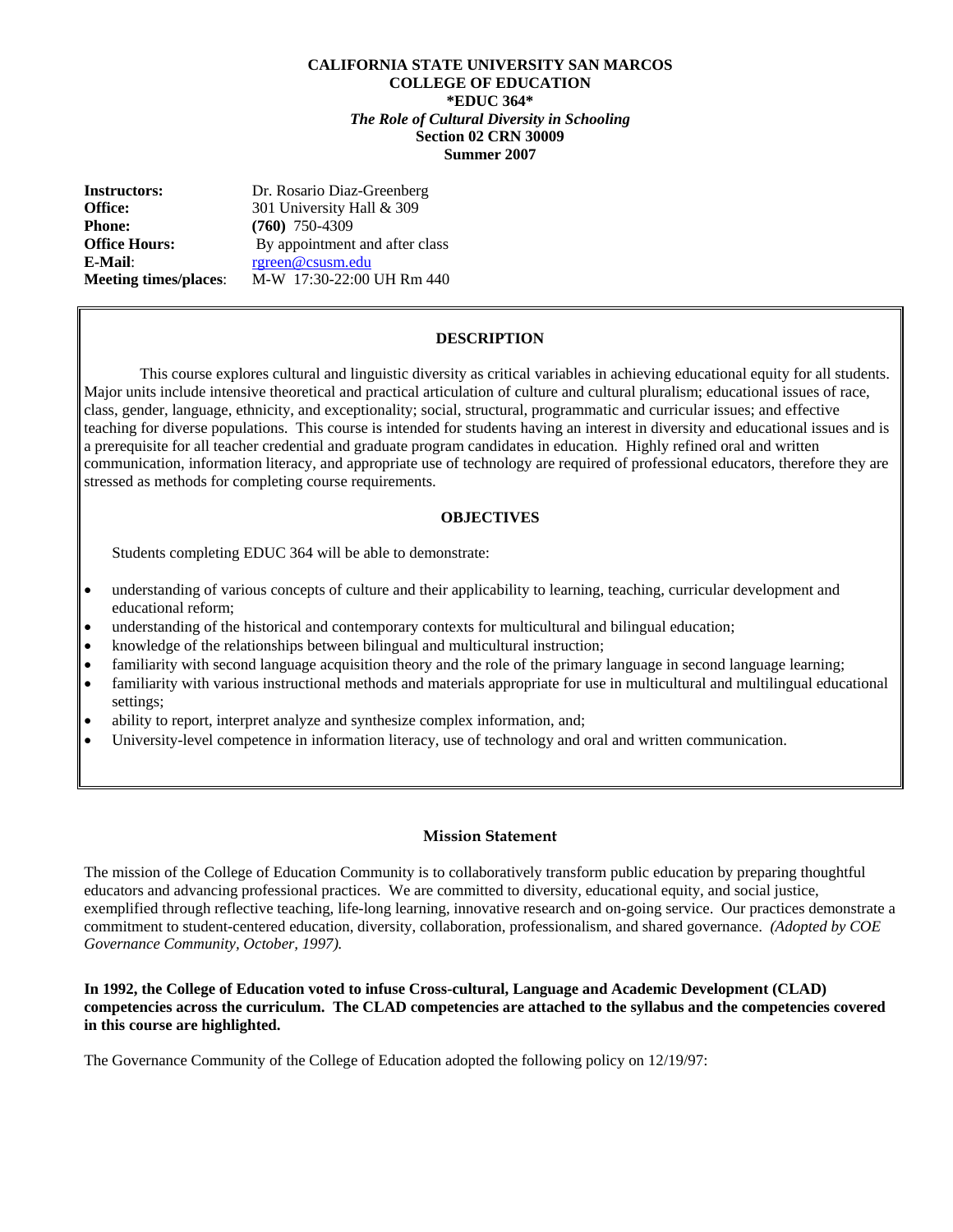#### **CALIFORNIA STATE UNIVERSITY SAN MARCOS COLLEGE OF EDUCATION \*EDUC 364\***  *The Role of Cultural Diversity in Schooling*  **Section 02 CRN 30009 Summer 2007**

**Instructors:** Dr. Rosario Diaz-Greenberg **Office:** 301 University Hall & 309 **Phone:** (760) 750-4309 **Office Hours:** By appointment and after class **E-Mail**: rgreen@csusm.edu **Meeting times/places**: M-W 17:30-22:00 UH Rm 440

## **DESCRIPTION**

 This course explores cultural and linguistic diversity as critical variables in achieving educational equity for all students. Major units include intensive theoretical and practical articulation of culture and cultural pluralism; educational issues of race, class, gender, language, ethnicity, and exceptionality; social, structural, programmatic and curricular issues; and effective teaching for diverse populations. This course is intended for students having an interest in diversity and educational issues and is a prerequisite for all teacher credential and graduate program candidates in education. Highly refined oral and written communication, information literacy, and appropriate use of technology are required of professional educators, therefore they are stressed as methods for completing course requirements.

#### **OBJECTIVES**

Students completing EDUC 364 will be able to demonstrate:

- understanding of various concepts of culture and their applicability to learning, teaching, curricular development and educational reform;
- understanding of the historical and contemporary contexts for multicultural and bilingual education;
- knowledge of the relationships between bilingual and multicultural instruction;
- familiarity with second language acquisition theory and the role of the primary language in second language learning;
- familiarity with various instructional methods and materials appropriate for use in multicultural and multilingual educational settings;
- ability to report, interpret analyze and synthesize complex information, and;
- University-level competence in information literacy, use of technology and oral and written communication.

#### **Mission Statement**

The mission of the College of Education Community is to collaboratively transform public education by preparing thoughtful educators and advancing professional practices. We are committed to diversity, educational equity, and social justice, exemplified through reflective teaching, life-long learning, innovative research and on-going service. Our practices demonstrate a commitment to student-centered education, diversity, collaboration, professionalism, and shared governance. *(Adopted by COE Governance Community, October, 1997).* 

#### **In 1992, the College of Education voted to infuse Cross-cultural, Language and Academic Development (CLAD) competencies across the curriculum. The CLAD competencies are attached to the syllabus and the competencies covered in this course are highlighted.**

The Governance Community of the College of Education adopted the following policy on 12/19/97: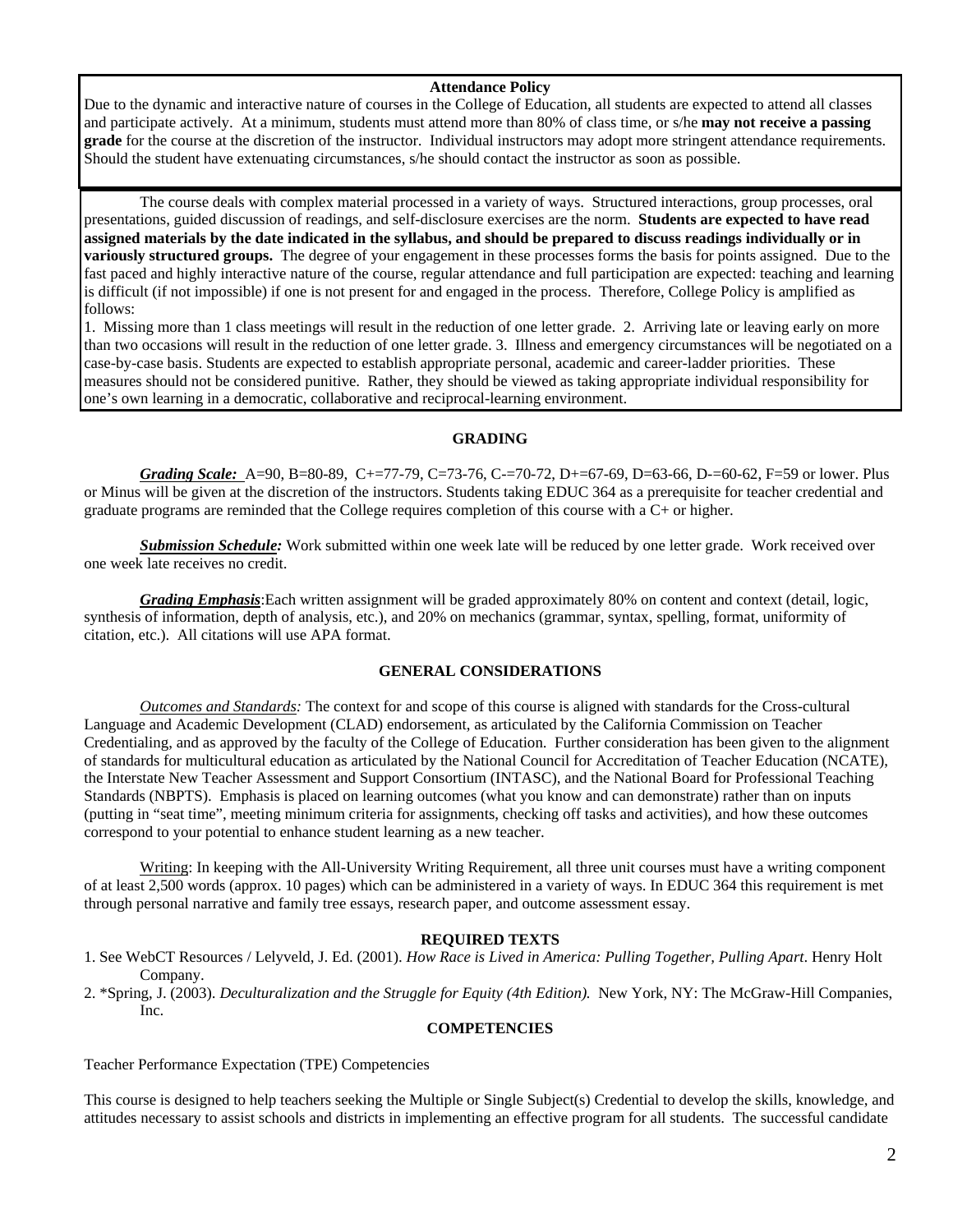#### **Attendance Policy**

Due to the dynamic and interactive nature of courses in the College of Education, all students are expected to attend all classes and participate actively. At a minimum, students must attend more than 80% of class time, or s/he **may not receive a passing grade** for the course at the discretion of the instructor. Individual instructors may adopt more stringent attendance requirements. Should the student have extenuating circumstances, s/he should contact the instructor as soon as possible.

 The course deals with complex material processed in a variety of ways. Structured interactions, group processes, oral presentations, guided discussion of readings, and self-disclosure exercises are the norm. **Students are expected to have read assigned materials by the date indicated in the syllabus, and should be prepared to discuss readings individually or in variously structured groups.** The degree of your engagement in these processes forms the basis for points assigned. Due to the fast paced and highly interactive nature of the course, regular attendance and full participation are expected: teaching and learning is difficult (if not impossible) if one is not present for and engaged in the process. Therefore, College Policy is amplified as follows:

1. Missing more than 1 class meetings will result in the reduction of one letter grade. 2. Arriving late or leaving early on more than two occasions will result in the reduction of one letter grade. 3. Illness and emergency circumstances will be negotiated on a case-by-case basis. Students are expected to establish appropriate personal, academic and career-ladder priorities. These measures should not be considered punitive. Rather, they should be viewed as taking appropriate individual responsibility for one's own learning in a democratic, collaborative and reciprocal-learning environment.

#### **GRADING**

*Grading Scale:* A=90, B=80-89, C+=77-79, C=73-76, C-=70-72, D+=67-69, D=63-66, D-=60-62, F=59 or lower. Plus or Minus will be given at the discretion of the instructors. Students taking EDUC 364 as a prerequisite for teacher credential and graduate programs are reminded that the College requires completion of this course with a C+ or higher.

 *Submission Schedule:* Work submitted within one week late will be reduced by one letter grade. Work received over one week late receives no credit.

*Grading Emphasis*:Each written assignment will be graded approximately 80% on content and context (detail, logic, synthesis of information, depth of analysis, etc.), and 20% on mechanics (grammar, syntax, spelling, format, uniformity of citation, etc.). All citations will use APA format.

## **GENERAL CONSIDERATIONS**

*Outcomes and Standards:* The context for and scope of this course is aligned with standards for the Cross-cultural Language and Academic Development (CLAD) endorsement, as articulated by the California Commission on Teacher Credentialing, and as approved by the faculty of the College of Education. Further consideration has been given to the alignment of standards for multicultural education as articulated by the National Council for Accreditation of Teacher Education (NCATE), the Interstate New Teacher Assessment and Support Consortium (INTASC), and the National Board for Professional Teaching Standards (NBPTS). Emphasis is placed on learning outcomes (what you know and can demonstrate) rather than on inputs (putting in "seat time", meeting minimum criteria for assignments, checking off tasks and activities), and how these outcomes correspond to your potential to enhance student learning as a new teacher.

Writing: In keeping with the All-University Writing Requirement, all three unit courses must have a writing component of at least 2,500 words (approx. 10 pages) which can be administered in a variety of ways. In EDUC 364 this requirement is met through personal narrative and family tree essays, research paper, and outcome assessment essay.

## **REQUIRED TEXTS**

- 1. See WebCT Resources / Lelyveld, J. Ed. (2001). *How Race is Lived in America: Pulling Together, Pulling Apart*. Henry Holt Company.
- 2. \*Spring, J. (2003). *Deculturalization and the Struggle for Equity (4th Edition).* New York, NY: The McGraw-Hill Companies, Inc.

#### **COMPETENCIES**

Teacher Performance Expectation (TPE) Competencies

This course is designed to help teachers seeking the Multiple or Single Subject(s) Credential to develop the skills, knowledge, and attitudes necessary to assist schools and districts in implementing an effective program for all students. The successful candidate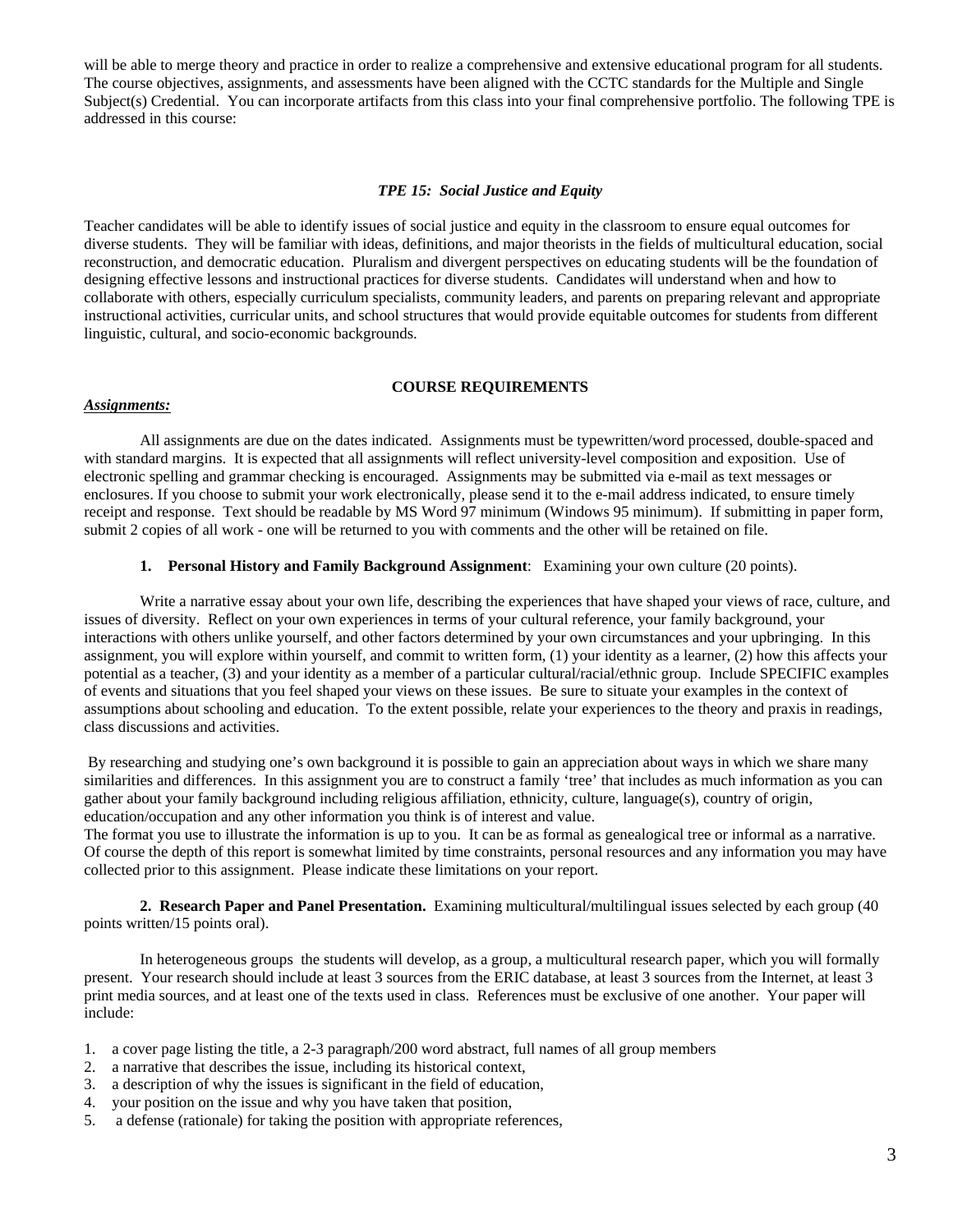will be able to merge theory and practice in order to realize a comprehensive and extensive educational program for all students. The course objectives, assignments, and assessments have been aligned with the CCTC standards for the Multiple and Single Subject(s) Credential. You can incorporate artifacts from this class into your final comprehensive portfolio. The following TPE is addressed in this course:

#### *TPE 15: Social Justice and Equity*

Teacher candidates will be able to identify issues of social justice and equity in the classroom to ensure equal outcomes for diverse students. They will be familiar with ideas, definitions, and major theorists in the fields of multicultural education, social reconstruction, and democratic education. Pluralism and divergent perspectives on educating students will be the foundation of designing effective lessons and instructional practices for diverse students. Candidates will understand when and how to collaborate with others, especially curriculum specialists, community leaders, and parents on preparing relevant and appropriate instructional activities, curricular units, and school structures that would provide equitable outcomes for students from different linguistic, cultural, and socio-economic backgrounds.

#### **COURSE REQUIREMENTS**

#### *Assignments:*

 All assignments are due on the dates indicated. Assignments must be typewritten/word processed, double-spaced and with standard margins. It is expected that all assignments will reflect university-level composition and exposition. Use of electronic spelling and grammar checking is encouraged. Assignments may be submitted via e-mail as text messages or enclosures. If you choose to submit your work electronically, please send it to the e-mail address indicated, to ensure timely receipt and response. Text should be readable by MS Word 97 minimum (Windows 95 minimum). If submitting in paper form, submit 2 copies of all work - one will be returned to you with comments and the other will be retained on file.

#### **1. Personal History and Family Background Assignment**: Examining your own culture (20 points).

 Write a narrative essay about your own life, describing the experiences that have shaped your views of race, culture, and issues of diversity. Reflect on your own experiences in terms of your cultural reference, your family background, your interactions with others unlike yourself, and other factors determined by your own circumstances and your upbringing. In this assignment, you will explore within yourself, and commit to written form, (1) your identity as a learner, (2) how this affects your potential as a teacher, (3) and your identity as a member of a particular cultural/racial/ethnic group. Include SPECIFIC examples of events and situations that you feel shaped your views on these issues. Be sure to situate your examples in the context of assumptions about schooling and education. To the extent possible, relate your experiences to the theory and praxis in readings, class discussions and activities.

 By researching and studying one's own background it is possible to gain an appreciation about ways in which we share many similarities and differences. In this assignment you are to construct a family 'tree' that includes as much information as you can gather about your family background including religious affiliation, ethnicity, culture, language(s), country of origin, education/occupation and any other information you think is of interest and value.

The format you use to illustrate the information is up to you. It can be as formal as genealogical tree or informal as a narrative. Of course the depth of this report is somewhat limited by time constraints, personal resources and any information you may have collected prior to this assignment. Please indicate these limitations on your report.

**2. Research Paper and Panel Presentation.** Examining multicultural/multilingual issues selected by each group (40 points written/15 points oral).

 In heterogeneous groups the students will develop, as a group, a multicultural research paper, which you will formally present. Your research should include at least 3 sources from the ERIC database, at least 3 sources from the Internet, at least 3 print media sources, and at least one of the texts used in class. References must be exclusive of one another. Your paper will include:

- 1. a cover page listing the title, a 2-3 paragraph/200 word abstract, full names of all group members
- 2. a narrative that describes the issue, including its historical context,
- 3. a description of why the issues is significant in the field of education,
- 4. your position on the issue and why you have taken that position,
- 5. a defense (rationale) for taking the position with appropriate references,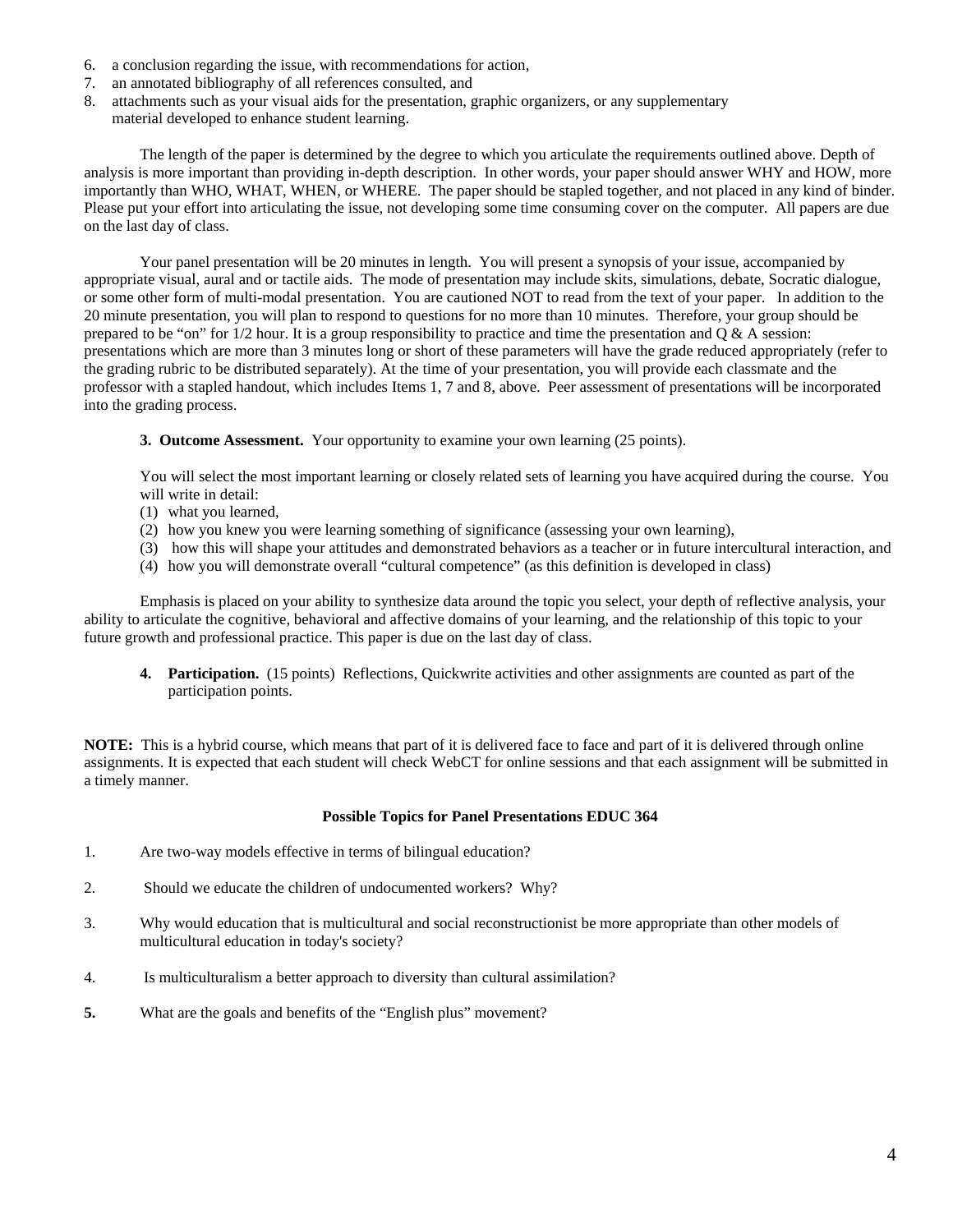- 6. a conclusion regarding the issue, with recommendations for action,
- 7. an annotated bibliography of all references consulted, and
- 8. attachments such as your visual aids for the presentation, graphic organizers, or any supplementary
	- material developed to enhance student learning.

 The length of the paper is determined by the degree to which you articulate the requirements outlined above. Depth of analysis is more important than providing in-depth description. In other words, your paper should answer WHY and HOW, more importantly than WHO, WHAT, WHEN, or WHERE. The paper should be stapled together, and not placed in any kind of binder. Please put your effort into articulating the issue, not developing some time consuming cover on the computer. All papers are due on the last day of class.

 Your panel presentation will be 20 minutes in length. You will present a synopsis of your issue, accompanied by appropriate visual, aural and or tactile aids. The mode of presentation may include skits, simulations, debate, Socratic dialogue, or some other form of multi-modal presentation. You are cautioned NOT to read from the text of your paper. In addition to the 20 minute presentation, you will plan to respond to questions for no more than 10 minutes. Therefore, your group should be prepared to be "on" for  $1/2$  hour. It is a group responsibility to practice and time the presentation and  $Q \& A$  session: presentations which are more than 3 minutes long or short of these parameters will have the grade reduced appropriately (refer to the grading rubric to be distributed separately). At the time of your presentation, you will provide each classmate and the professor with a stapled handout, which includes Items 1, 7 and 8, above. Peer assessment of presentations will be incorporated into the grading process.

**3. Outcome Assessment.** Your opportunity to examine your own learning (25 points).

You will select the most important learning or closely related sets of learning you have acquired during the course. You will write in detail:

- (1) what you learned,
- (2) how you knew you were learning something of significance (assessing your own learning),
- (3) how this will shape your attitudes and demonstrated behaviors as a teacher or in future intercultural interaction, and
- (4) how you will demonstrate overall "cultural competence" (as this definition is developed in class)

Emphasis is placed on your ability to synthesize data around the topic you select, your depth of reflective analysis, your ability to articulate the cognitive, behavioral and affective domains of your learning, and the relationship of this topic to your future growth and professional practice. This paper is due on the last day of class.

**4. Participation.** (15 points) Reflections, Quickwrite activities and other assignments are counted as part of the participation points.

**NOTE:** This is a hybrid course, which means that part of it is delivered face to face and part of it is delivered through online assignments. It is expected that each student will check WebCT for online sessions and that each assignment will be submitted in a timely manner.

## **Possible Topics for Panel Presentations EDUC 364**

- 1. Are two-way models effective in terms of bilingual education?
- 2. Should we educate the children of undocumented workers? Why?
- 3. Why would education that is multicultural and social reconstructionist be more appropriate than other models of multicultural education in today's society?
- 4. Is multiculturalism a better approach to diversity than cultural assimilation?
- **5.** What are the goals and benefits of the "English plus" movement?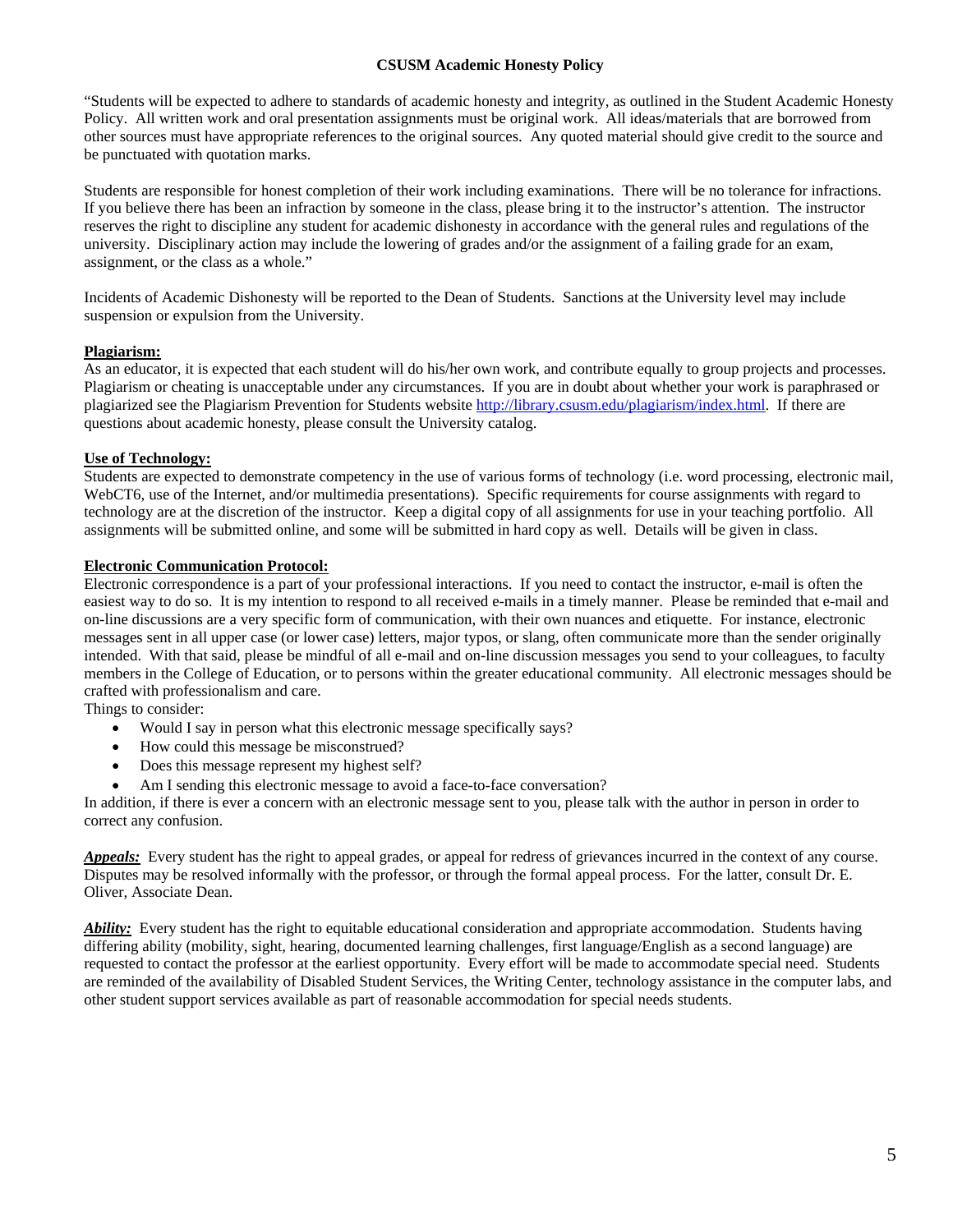## **CSUSM Academic Honesty Policy**

"Students will be expected to adhere to standards of academic honesty and integrity, as outlined in the Student Academic Honesty Policy. All written work and oral presentation assignments must be original work. All ideas/materials that are borrowed from other sources must have appropriate references to the original sources. Any quoted material should give credit to the source and be punctuated with quotation marks.

Students are responsible for honest completion of their work including examinations. There will be no tolerance for infractions. If you believe there has been an infraction by someone in the class, please bring it to the instructor's attention. The instructor reserves the right to discipline any student for academic dishonesty in accordance with the general rules and regulations of the university. Disciplinary action may include the lowering of grades and/or the assignment of a failing grade for an exam, assignment, or the class as a whole."

Incidents of Academic Dishonesty will be reported to the Dean of Students. Sanctions at the University level may include suspension or expulsion from the University.

## **Plagiarism:**

As an educator, it is expected that each student will do his/her own work, and contribute equally to group projects and processes. Plagiarism or cheating is unacceptable under any circumstances. If you are in doubt about whether your work is paraphrased or plagiarized see the Plagiarism Prevention for Students website http://library.csusm.edu/plagiarism/index.html. If there are questions about academic honesty, please consult the University catalog.

## **Use of Technology:**

Students are expected to demonstrate competency in the use of various forms of technology (i.e. word processing, electronic mail, WebCT6, use of the Internet, and/or multimedia presentations). Specific requirements for course assignments with regard to technology are at the discretion of the instructor. Keep a digital copy of all assignments for use in your teaching portfolio. All assignments will be submitted online, and some will be submitted in hard copy as well. Details will be given in class.

## **Electronic Communication Protocol:**

Electronic correspondence is a part of your professional interactions. If you need to contact the instructor, e-mail is often the easiest way to do so. It is my intention to respond to all received e-mails in a timely manner. Please be reminded that e-mail and on-line discussions are a very specific form of communication, with their own nuances and etiquette. For instance, electronic messages sent in all upper case (or lower case) letters, major typos, or slang, often communicate more than the sender originally intended. With that said, please be mindful of all e-mail and on-line discussion messages you send to your colleagues, to faculty members in the College of Education, or to persons within the greater educational community. All electronic messages should be crafted with professionalism and care.

Things to consider:

- Would I say in person what this electronic message specifically says?
- How could this message be misconstrued?
- Does this message represent my highest self?
- Am I sending this electronic message to avoid a face-to-face conversation?

In addition, if there is ever a concern with an electronic message sent to you, please talk with the author in person in order to correct any confusion.

*Appeals:* Every student has the right to appeal grades, or appeal for redress of grievances incurred in the context of any course. Disputes may be resolved informally with the professor, or through the formal appeal process. For the latter, consult Dr. E. Oliver, Associate Dean.

*Ability:* Every student has the right to equitable educational consideration and appropriate accommodation. Students having differing ability (mobility, sight, hearing, documented learning challenges, first language/English as a second language) are requested to contact the professor at the earliest opportunity. Every effort will be made to accommodate special need. Students are reminded of the availability of Disabled Student Services, the Writing Center, technology assistance in the computer labs, and other student support services available as part of reasonable accommodation for special needs students.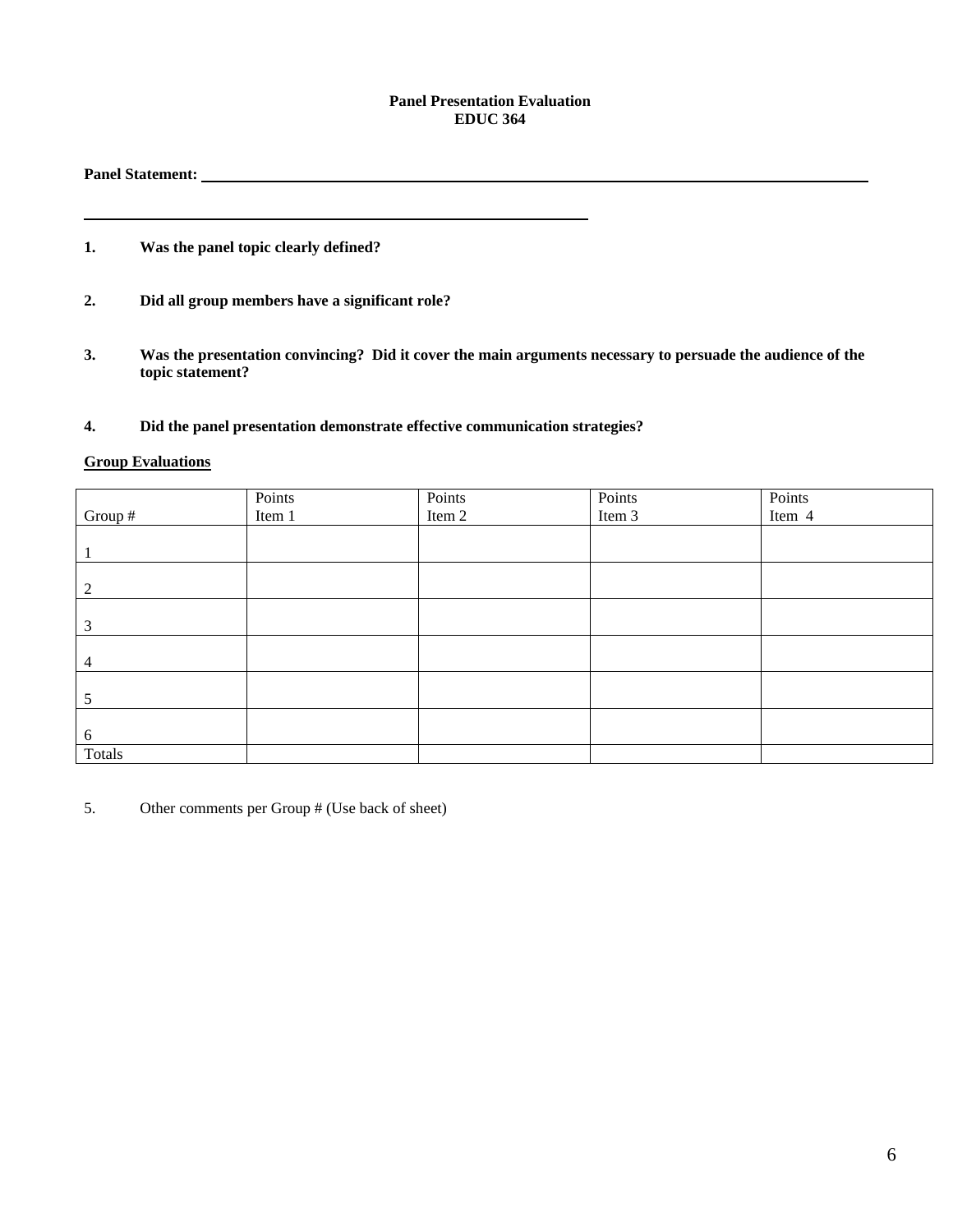#### **Panel Presentation Evaluation EDUC 364**

## **Panel Statement:**

## **1. Was the panel topic clearly defined?**

- **2. Did all group members have a significant role?**
- **3. Was the presentation convincing? Did it cover the main arguments necessary to persuade the audience of the topic statement?**

### **4. Did the panel presentation demonstrate effective communication strategies?**

<u> 1980 - Johann Barnett, fransk politik (</u>

## **Group Evaluations**

|         | Points |                  | Points | Points |
|---------|--------|------------------|--------|--------|
| Group # | Item 1 | Points<br>Item 2 | Item 3 | Item 4 |
|         |        |                  |        |        |
|         |        |                  |        |        |
|         |        |                  |        |        |
| 2       |        |                  |        |        |
|         |        |                  |        |        |
| 3       |        |                  |        |        |
|         |        |                  |        |        |
| 4       |        |                  |        |        |
|         |        |                  |        |        |
| 5       |        |                  |        |        |
|         |        |                  |        |        |
| 6       |        |                  |        |        |
| Totals  |        |                  |        |        |

5. Other comments per Group # (Use back of sheet)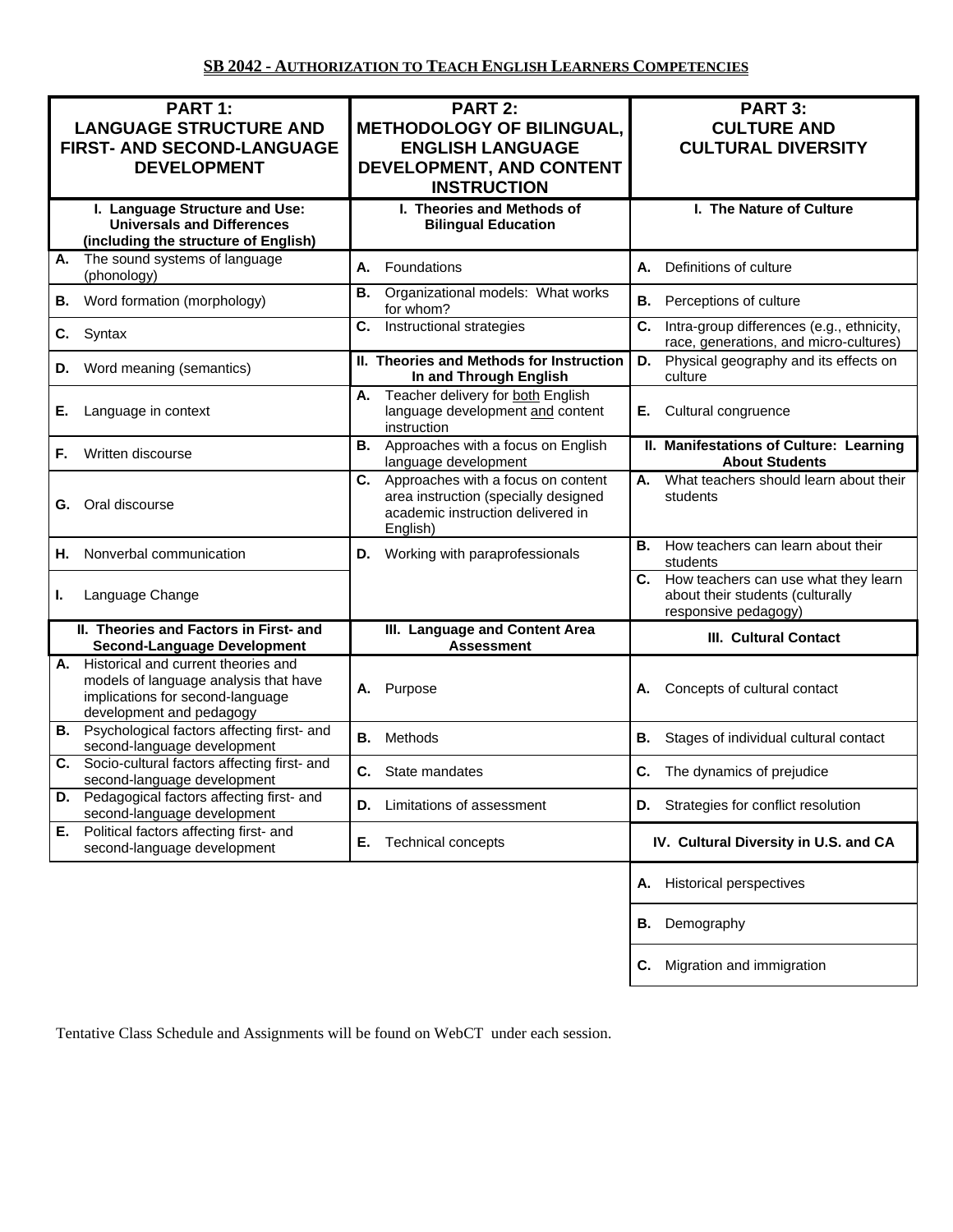| PART 1:<br><b>LANGUAGE STRUCTURE AND</b><br>FIRST- AND SECOND-LANGUAGE<br><b>DEVELOPMENT</b>                                                    | <b>PART 2:</b><br><b>METHODOLOGY OF BILINGUAL,</b><br><b>ENGLISH LANGUAGE</b><br>DEVELOPMENT, AND CONTENT<br><b>INSTRUCTION</b>   | PART 3:<br><b>CULTURE AND</b><br><b>CULTURAL DIVERSITY</b>                                          |
|-------------------------------------------------------------------------------------------------------------------------------------------------|-----------------------------------------------------------------------------------------------------------------------------------|-----------------------------------------------------------------------------------------------------|
| I. Language Structure and Use:<br><b>Universals and Differences</b><br>(including the structure of English)                                     | I. Theories and Methods of<br><b>Bilingual Education</b>                                                                          | I. The Nature of Culture                                                                            |
| The sound systems of language<br>А.<br>(phonology)                                                                                              | Foundations<br>А.                                                                                                                 | Definitions of culture<br>А.                                                                        |
| Word formation (morphology)<br>В.                                                                                                               | Organizational models: What works<br>В.<br>for whom?                                                                              | Perceptions of culture<br>В.                                                                        |
| Syntax<br>C.                                                                                                                                    | C.<br>Instructional strategies                                                                                                    | C.<br>Intra-group differences (e.g., ethnicity,<br>race, generations, and micro-cultures)           |
| Word meaning (semantics)<br>D.                                                                                                                  | II. Theories and Methods for Instruction<br>In and Through English                                                                | Physical geography and its effects on<br>D.<br>culture                                              |
| Е.<br>Language in context                                                                                                                       | Teacher delivery for both English<br>А.<br>language development and content<br>instruction                                        | Cultural congruence<br>Е.                                                                           |
| Written discourse<br>F.                                                                                                                         | Approaches with a focus on English<br>В.<br>language development                                                                  | II. Manifestations of Culture: Learning<br><b>About Students</b>                                    |
| Oral discourse<br>G.                                                                                                                            | C.<br>Approaches with a focus on content<br>area instruction (specially designed<br>academic instruction delivered in<br>English) | What teachers should learn about their<br>А.<br>students                                            |
| Nonverbal communication<br>Н.                                                                                                                   | D. Working with paraprofessionals                                                                                                 | В.<br>How teachers can learn about their<br>students                                                |
| Language Change<br>ı.                                                                                                                           |                                                                                                                                   | C. How teachers can use what they learn<br>about their students (culturally<br>responsive pedagogy) |
| II. Theories and Factors in First- and<br><b>Second-Language Development</b>                                                                    | III. Language and Content Area<br><b>Assessment</b>                                                                               | <b>III. Cultural Contact</b>                                                                        |
| A. Historical and current theories and<br>models of language analysis that have<br>implications for second-language<br>development and pedagogy | Purpose<br>Α.                                                                                                                     | Concepts of cultural contact<br>А.                                                                  |
| <b>B.</b> Psychological factors affecting first- and<br>second-language development                                                             | Methods<br>В.                                                                                                                     | Stages of individual cultural contact<br>В.                                                         |
| Socio-cultural factors affecting first- and<br>С.<br>second-language development                                                                | C. State mandates                                                                                                                 | С.<br>The dynamics of prejudice                                                                     |
| D. Pedagogical factors affecting first- and<br>second-language development                                                                      | Limitations of assessment<br>D.                                                                                                   | D. Strategies for conflict resolution                                                               |
| E. Political factors affecting first- and<br>second-language development                                                                        | Е.<br><b>Technical concepts</b>                                                                                                   | IV. Cultural Diversity in U.S. and CA                                                               |
|                                                                                                                                                 |                                                                                                                                   | <b>Historical perspectives</b><br>Α.                                                                |
|                                                                                                                                                 |                                                                                                                                   | Demography<br>В.                                                                                    |
|                                                                                                                                                 |                                                                                                                                   | Migration and immigration<br>С.                                                                     |

Tentative Class Schedule and Assignments will be found on WebCT under each session.